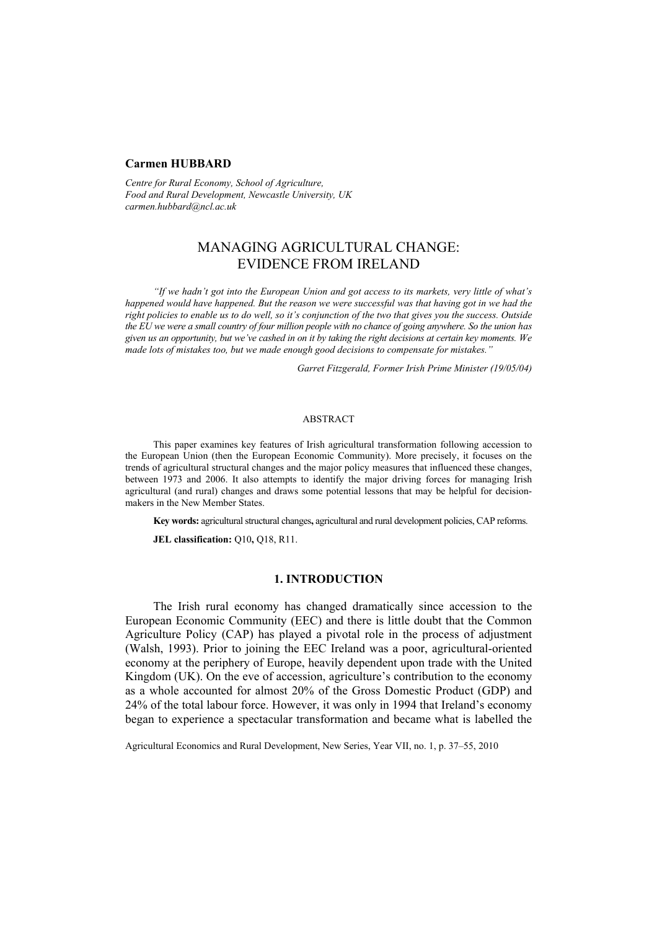#### **Carmen HUBBARD**

*Centre for Rural Economy, School of Agriculture, Food and Rural Development, Newcastle University, UK carmen.hubbard@ncl.ac.uk* 

# MANAGING AGRICULTURAL CHANGE: EVIDENCE FROM IRELAND

*"If we hadn't got into the European Union and got access to its markets, very little of what's happened would have happened. But the reason we were successful was that having got in we had the right policies to enable us to do well, so it's conjunction of the two that gives you the success. Outside the EU we were a small country of four million people with no chance of going anywhere. So the union has given us an opportunity, but we've cashed in on it by taking the right decisions at certain key moments. We made lots of mistakes too, but we made enough good decisions to compensate for mistakes."* 

*Garret Fitzgerald, Former Irish Prime Minister (19/05/04)* 

## **ABSTRACT**

This paper examines key features of Irish agricultural transformation following accession to the European Union (then the European Economic Community). More precisely, it focuses on the trends of agricultural structural changes and the major policy measures that influenced these changes, between 1973 and 2006. It also attempts to identify the major driving forces for managing Irish agricultural (and rural) changes and draws some potential lessons that may be helpful for decisionmakers in the New Member States.

**Key words:** agricultural structural changes**,** agricultural and rural development policies, CAP reforms.

**JEL classification:** Q10**,** Q18, R11.

### **1. INTRODUCTION**

The Irish rural economy has changed dramatically since accession to the European Economic Community (EEC) and there is little doubt that the Common Agriculture Policy (CAP) has played a pivotal role in the process of adjustment (Walsh, 1993). Prior to joining the EEC Ireland was a poor, agricultural-oriented economy at the periphery of Europe, heavily dependent upon trade with the United Kingdom (UK). On the eve of accession, agriculture's contribution to the economy as a whole accounted for almost 20% of the Gross Domestic Product (GDP) and 24% of the total labour force. However, it was only in 1994 that Ireland's economy began to experience a spectacular transformation and became what is labelled the

Agricultural Economics and Rural Development, New Series, Year VII, no. 1, p. 37–55, 2010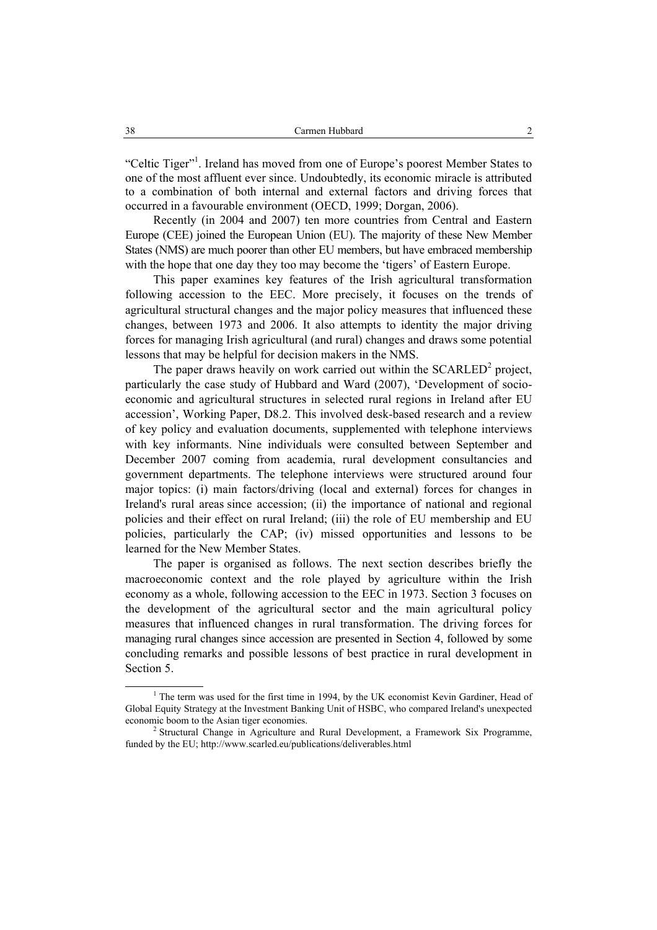"Celtic Tiger"<sup>1</sup>. Ireland has moved from one of Europe's poorest Member States to one of the most affluent ever since. Undoubtedly, its economic miracle is attributed to a combination of both internal and external factors and driving forces that occurred in a favourable environment (OECD, 1999; Dorgan, 2006).

Recently (in 2004 and 2007) ten more countries from Central and Eastern Europe (CEE) joined the European Union (EU). The majority of these New Member States (NMS) are much poorer than other EU members, but have embraced membership with the hope that one day they too may become the 'tigers' of Eastern Europe.

This paper examines key features of the Irish agricultural transformation following accession to the EEC. More precisely, it focuses on the trends of agricultural structural changes and the major policy measures that influenced these changes, between 1973 and 2006. It also attempts to identity the major driving forces for managing Irish agricultural (and rural) changes and draws some potential lessons that may be helpful for decision makers in the NMS.

The paper draws heavily on work carried out within the  $SCARLED<sup>2</sup>$  project, particularly the case study of Hubbard and Ward (2007), 'Development of socioeconomic and agricultural structures in selected rural regions in Ireland after EU accession', Working Paper, D8.2. This involved desk-based research and a review of key policy and evaluation documents, supplemented with telephone interviews with key informants. Nine individuals were consulted between September and December 2007 coming from academia, rural development consultancies and government departments. The telephone interviews were structured around four major topics: (i) main factors/driving (local and external) forces for changes in Ireland's rural areas since accession; (ii) the importance of national and regional policies and their effect on rural Ireland; (iii) the role of EU membership and EU policies, particularly the CAP; (iv) missed opportunities and lessons to be learned for the New Member States.

The paper is organised as follows. The next section describes briefly the macroeconomic context and the role played by agriculture within the Irish economy as a whole, following accession to the EEC in 1973. Section 3 focuses on the development of the agricultural sector and the main agricultural policy measures that influenced changes in rural transformation. The driving forces for managing rural changes since accession are presented in Section 4, followed by some concluding remarks and possible lessons of best practice in rural development in Section 5.

 $\overline{\phantom{a}}$ <sup>1</sup> The term was used for the first time in 1994, by the UK economist Kevin Gardiner, Head of Global Equity Strategy at the Investment Banking Unit of HSBC, who compared Ireland's unexpected economic boom to the Asian tiger economies. 2

 $2$  Structural Change in Agriculture and Rural Development, a Framework Six Programme, funded by the EU; http://www.scarled.eu/publications/deliverables.html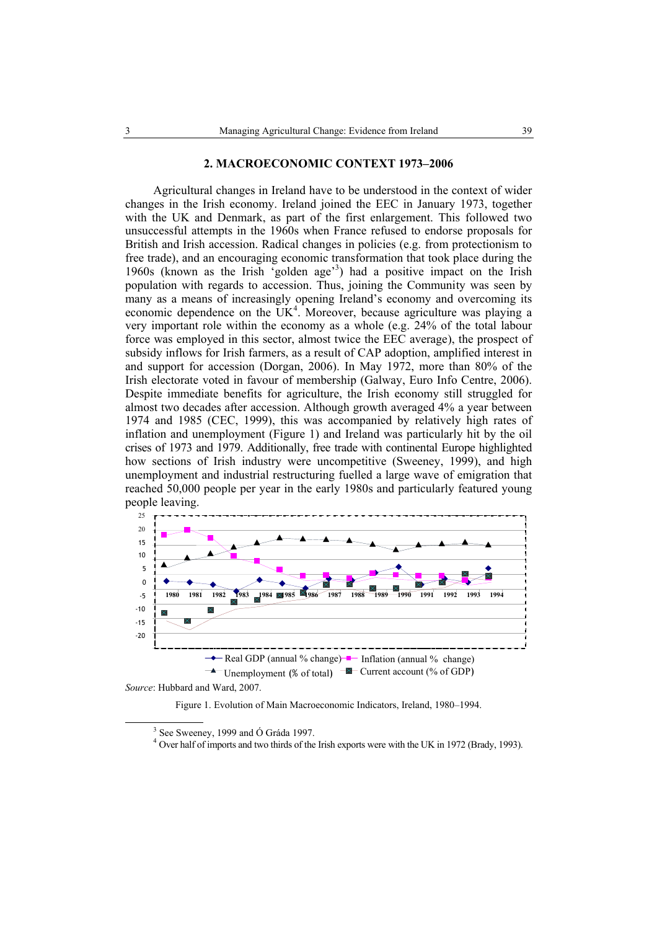#### **2. MACROECONOMIC CONTEXT 1973–2006**

Agricultural changes in Ireland have to be understood in the context of wider changes in the Irish economy. Ireland joined the EEC in January 1973, together with the UK and Denmark, as part of the first enlargement. This followed two unsuccessful attempts in the 1960s when France refused to endorse proposals for British and Irish accession. Radical changes in policies (e.g. from protectionism to free trade), and an encouraging economic transformation that took place during the 1960s (known as the Irish 'golden age'<sup>3</sup> ) had a positive impact on the Irish population with regards to accession. Thus, joining the Community was seen by many as a means of increasingly opening Ireland's economy and overcoming its economic dependence on the  $UK<sup>4</sup>$ . Moreover, because agriculture was playing a very important role within the economy as a whole (e.g. 24% of the total labour force was employed in this sector, almost twice the EEC average), the prospect of subsidy inflows for Irish farmers, as a result of CAP adoption, amplified interest in and support for accession (Dorgan, 2006). In May 1972, more than 80% of the Irish electorate voted in favour of membership (Galway, Euro Info Centre, 2006). Despite immediate benefits for agriculture, the Irish economy still struggled for almost two decades after accession. Although growth averaged 4% a year between 1974 and 1985 (CEC, 1999), this was accompanied by relatively high rates of inflation and unemployment (Figure 1) and Ireland was particularly hit by the oil crises of 1973 and 1979. Additionally, free trade with continental Europe highlighted how sections of Irish industry were uncompetitive (Sweeney, 1999), and high unemployment and industrial restructuring fuelled a large wave of emigration that reached 50,000 people per year in the early 1980s and particularly featured young people leaving.



*Source*: Hubbard and Ward, 2007.

Figure 1. Evolution of Main Macroeconomic Indicators, Ireland, 1980–1994.

 $\overline{\phantom{a}}$  $3$  See Sweeney, 1999 and Ó Gráda 1997.

<sup>&</sup>lt;sup>4</sup> Over half of imports and two thirds of the Irish exports were with the UK in 1972 (Brady, 1993).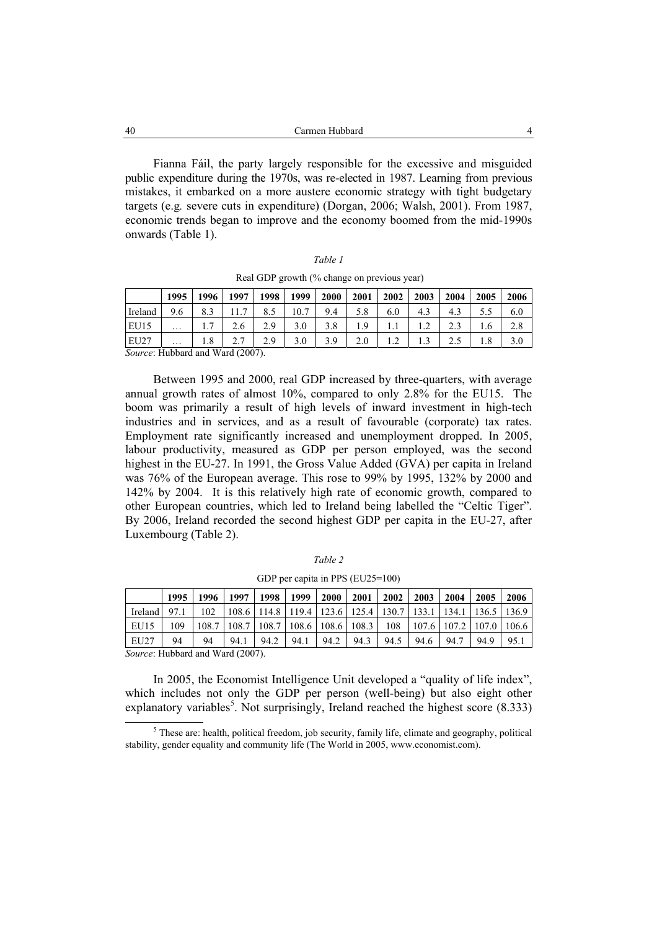| 40 | Carmen Hubbard |  |
|----|----------------|--|
|    |                |  |

Fianna Fáil, the party largely responsible for the excessive and misguided public expenditure during the 1970s, was re-elected in 1987. Learning from previous mistakes, it embarked on a more austere economic strategy with tight budgetary targets (e.g*.* severe cuts in expenditure) (Dorgan, 2006; Walsh, 2001). From 1987, economic trends began to improve and the economy boomed from the mid-1990s onwards (Table 1).

| I |  |
|---|--|
|---|--|

|  |  |  | Real GDP growth (% change on previous year) |  |
|--|--|--|---------------------------------------------|--|
|  |  |  |                                             |  |

|                                 | 1995     | 1996            | 1997         | 998 | 1999 | 2000 | 2001 | 2002 | 2003 | 2004             | 2005 | 2006 |
|---------------------------------|----------|-----------------|--------------|-----|------|------|------|------|------|------------------|------|------|
| Ireland                         | 9.6      | 8.3             | $\mathbf{r}$ |     | 10.7 | 9.4  | 5.8  | 6.0  | 4.3  | 4.3              |      | 6.0  |
| EU15                            | $\cdots$ | $\cdot$ $\cdot$ | 2.6          | 2.9 | 3.0  | 3.8  | 1.9  |      |      | $2^{\circ}$      | 1.6  | 2.8  |
| <b>EU27</b>                     | $\cdots$ | 1.8             |              | 2.9 | 3.0  | 3.9  | 2.0  |      |      | $\gamma$ $\zeta$ | 1.8  | 3.0  |
| Source: Hubbard and Ward (2007) |          |                 |              |     |      |      |      |      |      |                  |      |      |

*Source*: Hubbard and Ward (2007).

Between 1995 and 2000, real GDP increased by three-quarters, with average annual growth rates of almost 10%, compared to only 2.8% for the EU15. The boom was primarily a result of high levels of inward investment in high-tech industries and in services, and as a result of favourable (corporate) tax rates. Employment rate significantly increased and unemployment dropped. In 2005, labour productivity, measured as GDP per person employed, was the second highest in the EU-27. In 1991, the Gross Value Added (GVA) per capita in Ireland was 76% of the European average. This rose to 99% by 1995, 132% by 2000 and 142% by 2004. It is this relatively high rate of economic growth, compared to other European countries, which led to Ireland being labelled the "Celtic Tiger". By 2006, Ireland recorded the second highest GDP per capita in the EU-27, after Luxembourg (Table 2).

|--|--|

GDP per capita in PPS (EU25=100)

|         | 1995 | 1996  | 1997 | 1998            | 1999                                                  | 2000 | 2001                    | 2002 | 2003  | 2004 | 2005                  | 2006 |
|---------|------|-------|------|-----------------|-------------------------------------------------------|------|-------------------------|------|-------|------|-----------------------|------|
| Ireland | 97.1 | 102   |      |                 | 108.6   114.8   119.4   123.6   125.4   130.7   133.1 |      |                         |      |       |      | 134.1   136.5   136.9 |      |
| EU15    | 109  | 108.7 |      | $108.7$   108.7 |                                                       |      | $108.6$   108.6   108.3 | 108  | 107.6 |      | 107.2   107.0   106.6 |      |
| EU27    | 94   | 94    | 94.1 | 94.2            | 94.1                                                  | 94.2 | 94.3                    | 94.5 | 94.6  | 94.7 | 94.9                  | 95.1 |

*Source*: Hubbard and Ward (2007).

In 2005, the Economist Intelligence Unit developed a "quality of life index", which includes not only the GDP per person (well-being) but also eight other explanatory variables<sup>5</sup>. Not surprisingly, Ireland reached the highest score  $(8.333)$ 

 $rac{1}{5}$  $<sup>5</sup>$  These are: health, political freedom, job security, family life, climate and geography, political</sup> stability, gender equality and community life (The World in 2005, www.economist.com).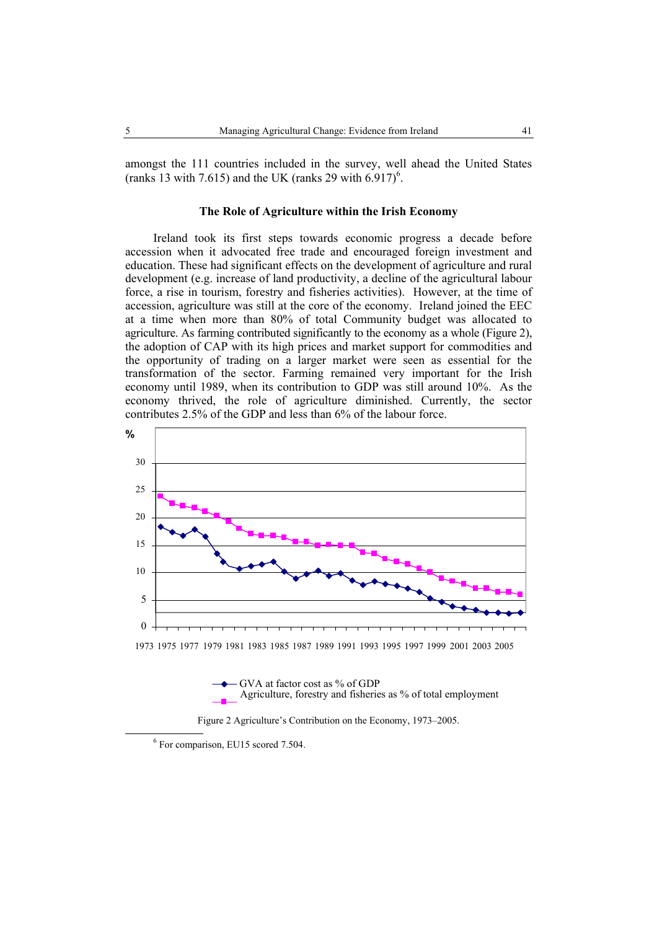amongst the 111 countries included in the survey, well ahead the United States (ranks 13 with 7.615) and the UK (ranks 29 with  $6.917$ )<sup>6</sup>.

## **The Role of Agriculture within the Irish Economy**

Ireland took its first steps towards economic progress a decade before accession when it advocated free trade and encouraged foreign investment and education. These had significant effects on the development of agriculture and rural development (e.g. increase of land productivity, a decline of the agricultural labour force, a rise in tourism, forestry and fisheries activities). However, at the time of accession, agriculture was still at the core of the economy. Ireland joined the EEC at a time when more than 80% of total Community budget was allocated to agriculture. As farming contributed significantly to the economy as a whole (Figure 2), the adoption of CAP with its high prices and market support for commodities and the opportunity of trading on a larger market were seen as essential for the transformation of the sector. Farming remained very important for the Irish economy until 1989, when its contribution to GDP was still around 10%. As the economy thrived, the role of agriculture diminished. Currently, the sector contributes 2.5% of the GDP and less than 6% of the labour force.







 <sup>6</sup>  $6$  For comparison, EU15 scored 7.504.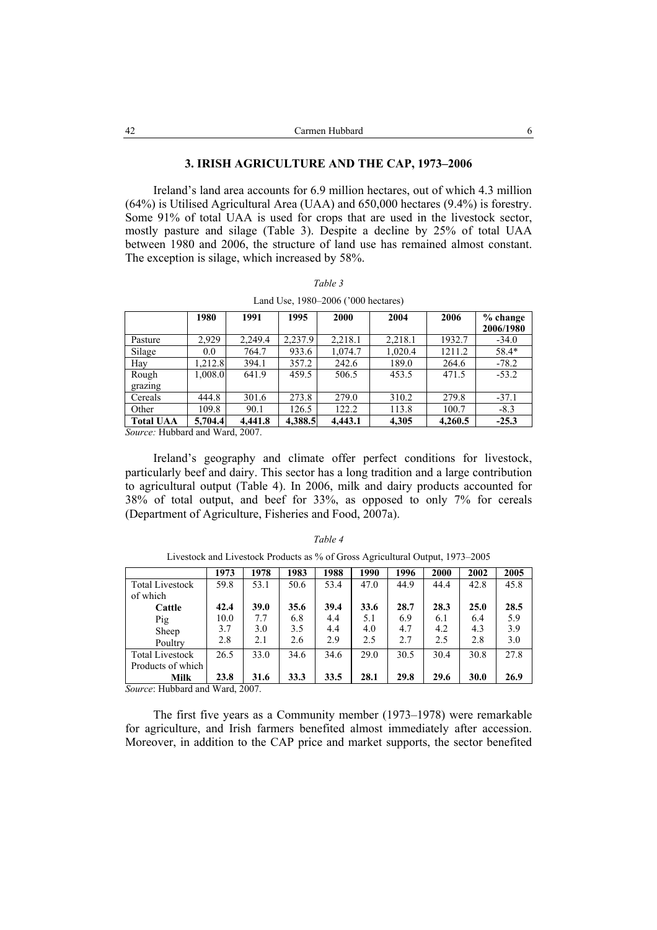## **3. IRISH AGRICULTURE AND THE CAP, 1973–2006**

Ireland's land area accounts for 6.9 million hectares, out of which 4.3 million (64%) is Utilised Agricultural Area (UAA) and 650,000 hectares (9.4%) is forestry. Some 91% of total UAA is used for crops that are used in the livestock sector, mostly pasture and silage (Table 3). Despite a decline by 25% of total UAA between 1980 and 2006, the structure of land use has remained almost constant. The exception is silage, which increased by 58%.

|  |  | ar<br>ı |  |
|--|--|---------|--|
|--|--|---------|--|

|                  | 1980    | 1991    | 1995    | 2000    | 2004    | 2006    | $%$ change<br>2006/1980 |
|------------------|---------|---------|---------|---------|---------|---------|-------------------------|
| Pasture          | 2,929   | 2,249.4 | 2,237.9 | 2,218.1 | 2,218.1 | 1932.7  | $-34.0$                 |
| Silage           | 0.0     | 764.7   | 933.6   | 1,074.7 | 1,020.4 | 1211.2  | 58.4*                   |
| Hay              | 1,212.8 | 394.1   | 357.2   | 242.6   | 189.0   | 264.6   | $-78.2$                 |
| Rough            | 1,008.0 | 641.9   | 459.5   | 506.5   | 453.5   | 471.5   | $-53.2$                 |
| grazing          |         |         |         |         |         |         |                         |
| Cereals          | 444.8   | 301.6   | 273.8   | 279.0   | 310.2   | 279.8   | $-37.1$                 |
| Other            | 109.8   | 90.1    | 126.5   | 122.2   | 113.8   | 100.7   | $-8.3$                  |
| <b>Total UAA</b> | 5.704.4 | 4.441.8 | 4,388.5 | 4.443.1 | 4,305   | 4.260.5 | $-25.3$                 |

Land Use, 1980–2006 ('000 hectares)

*Source:* Hubbard and Ward, 2007.

Ireland's geography and climate offer perfect conditions for livestock, particularly beef and dairy. This sector has a long tradition and a large contribution to agricultural output (Table 4). In 2006, milk and dairy products accounted for 38% of total output, and beef for 33%, as opposed to only 7% for cereals (Department of Agriculture, Fisheries and Food, 2007a).

|                               | 1973 | 1978 | 1983 | 1988 | 1990 | 1996 | 2000 | 2002 | 2005 |
|-------------------------------|------|------|------|------|------|------|------|------|------|
| <b>Total Livestock</b>        | 59.8 | 53.1 | 50.6 | 53.4 | 47.0 | 44.9 | 44.4 | 42.8 | 45.8 |
| of which                      |      |      |      |      |      |      |      |      |      |
| Cattle                        | 42.4 | 39.0 | 35.6 | 39.4 | 33.6 | 28.7 | 28.3 | 25.0 | 28.5 |
| Pig                           | 10.0 | 7.7  | 6.8  | 4.4  | 5.1  | 6.9  | 6.1  | 6.4  | 5.9  |
| Sheep                         | 3.7  | 3.0  | 3.5  | 4.4  | 4.0  | 4.7  | 4.2  | 4.3  | 3.9  |
| Poultry                       | 2.8  | 2.1  | 2.6  | 2.9  | 2.5  | 2.7  | 2.5  | 2.8  | 3.0  |
| <b>Total Livestock</b>        | 26.5 | 33.0 | 34.6 | 34.6 | 29.0 | 30.5 | 30.4 | 30.8 | 27.8 |
| Products of which             |      |      |      |      |      |      |      |      |      |
| Milk                          | 23.8 | 31.6 | 33.3 | 33.5 | 28.1 | 29.8 | 29.6 | 30.0 | 26.9 |
| Course: Uubbord and Word 2007 |      |      |      |      |      |      |      |      |      |

*Table 4*  Livestock and Livestock Products as % of Gross Agricultural Output, 1973–2005

*Source*: Hubbard and Ward, 2007.

The first five years as a Community member (1973–1978) were remarkable for agriculture, and Irish farmers benefited almost immediately after accession. Moreover, in addition to the CAP price and market supports, the sector benefited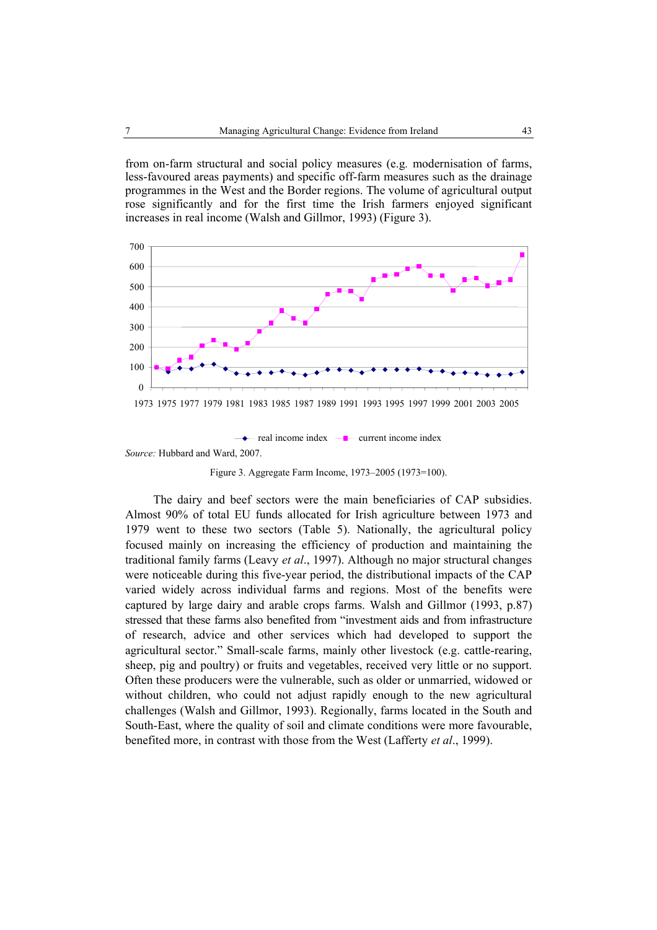from on-farm structural and social policy measures (e.g*.* modernisation of farms, less-favoured areas payments) and specific off-farm measures such as the drainage programmes in the West and the Border regions. The volume of agricultural output rose significantly and for the first time the Irish farmers enjoyed significant increases in real income (Walsh and Gillmor, 1993) (Figure 3).



*Source:* Hubbard and Ward, 2007.

Figure 3. Aggregate Farm Income, 1973–2005 (1973=100).

The dairy and beef sectors were the main beneficiaries of CAP subsidies. Almost 90% of total EU funds allocated for Irish agriculture between 1973 and 1979 went to these two sectors (Table 5). Nationally, the agricultural policy focused mainly on increasing the efficiency of production and maintaining the traditional family farms (Leavy *et al*., 1997). Although no major structural changes were noticeable during this five-year period, the distributional impacts of the CAP varied widely across individual farms and regions. Most of the benefits were captured by large dairy and arable crops farms. Walsh and Gillmor (1993, p.87) stressed that these farms also benefited from "investment aids and from infrastructure of research, advice and other services which had developed to support the agricultural sector." Small-scale farms, mainly other livestock (e.g. cattle-rearing, sheep, pig and poultry) or fruits and vegetables, received very little or no support. Often these producers were the vulnerable, such as older or unmarried, widowed or without children, who could not adjust rapidly enough to the new agricultural challenges (Walsh and Gillmor, 1993). Regionally, farms located in the South and South-East, where the quality of soil and climate conditions were more favourable, benefited more, in contrast with those from the West (Lafferty *et al*., 1999).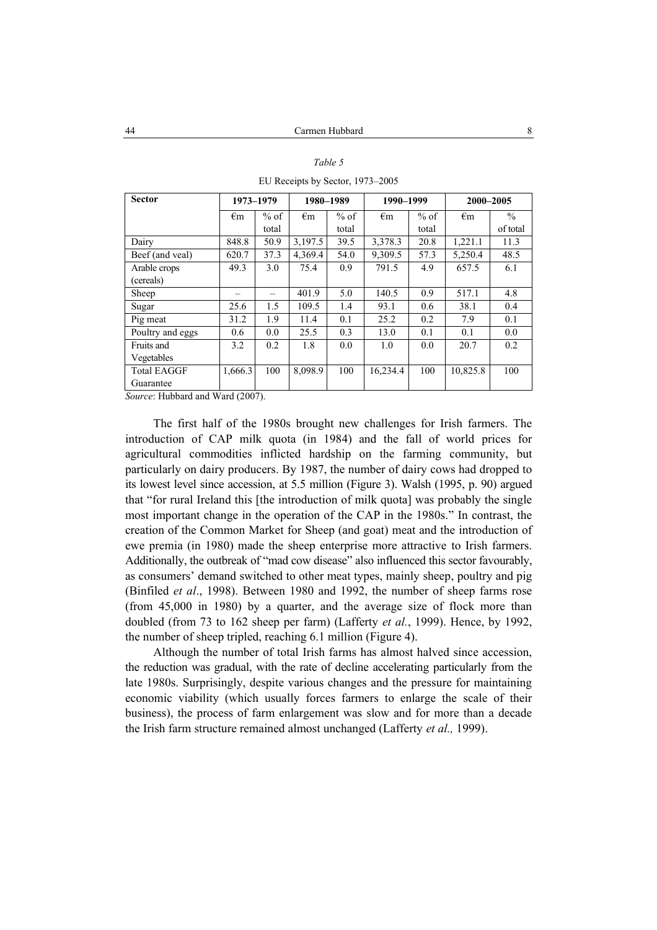| <b>Sector</b>      |              | 1973-1979 |              | 1980-1989 | 1990-1999    |        | 2000-2005    |               |
|--------------------|--------------|-----------|--------------|-----------|--------------|--------|--------------|---------------|
|                    | $\epsilon$ m | $%$ of    | $\epsilon$ m | $%$ of    | $\epsilon$ m | $%$ of | $\epsilon$ m | $\frac{0}{0}$ |
|                    |              | total     |              | total     |              | total  |              | of total      |
| Dairy              | 848.8        | 50.9      | 3,197.5      | 39.5      | 3,378.3      | 20.8   | 1,221.1      | 11.3          |
| Beef (and yeal)    | 620.7        | 37.3      | 4.369.4      | 54.0      | 9,309.5      | 57.3   | 5,250.4      | 48.5          |
| Arable crops       | 49.3         | 3.0       | 75.4         | 0.9       | 791.5        | 4.9    | 657.5        | 6.1           |
| (cereals)          |              |           |              |           |              |        |              |               |
| Sheep              |              |           | 401.9        | 5.0       | 140.5        | 0.9    | 517.1        | 4.8           |
| Sugar              | 25.6         | 1.5       | 109.5        | 1.4       | 93.1         | 0.6    | 38.1         | 0.4           |
| Pig meat           | 31.2         | 1.9       | 11.4         | 0.1       | 25.2         | 0.2    | 7.9          | 0.1           |
| Poultry and eggs   | 0.6          | 0.0       | 25.5         | 0.3       | 13.0         | 0.1    | 0.1          | 0.0           |
| Fruits and         | 3.2          | 0.2       | 1.8          | 0.0       | 1.0          | 0.0    | 20.7         | 0.2           |
| Vegetables         |              |           |              |           |              |        |              |               |
| <b>Total EAGGF</b> | 1,666.3      | 100       | 8,098.9      | 100       | 16,234.4     | 100    | 10,825.8     | 100           |
| Guarantee          |              |           |              |           |              |        |              |               |

*Table 5*  EU Receipts by Sector, 1973–2005

*Source*: Hubbard and Ward (2007).

The first half of the 1980s brought new challenges for Irish farmers. The introduction of CAP milk quota (in 1984) and the fall of world prices for agricultural commodities inflicted hardship on the farming community, but particularly on dairy producers. By 1987, the number of dairy cows had dropped to its lowest level since accession, at 5.5 million (Figure 3). Walsh (1995, p. 90) argued that "for rural Ireland this [the introduction of milk quota] was probably the single most important change in the operation of the CAP in the 1980s." In contrast, the creation of the Common Market for Sheep (and goat) meat and the introduction of ewe premia (in 1980) made the sheep enterprise more attractive to Irish farmers. Additionally, the outbreak of "mad cow disease" also influenced this sector favourably, as consumers' demand switched to other meat types, mainly sheep, poultry and pig (Binfiled *et al*., 1998). Between 1980 and 1992, the number of sheep farms rose (from 45,000 in 1980) by a quarter, and the average size of flock more than doubled (from 73 to 162 sheep per farm) (Lafferty *et al.*, 1999). Hence, by 1992, the number of sheep tripled, reaching 6.1 million (Figure 4).

Although the number of total Irish farms has almost halved since accession, the reduction was gradual, with the rate of decline accelerating particularly from the late 1980s. Surprisingly, despite various changes and the pressure for maintaining economic viability (which usually forces farmers to enlarge the scale of their business), the process of farm enlargement was slow and for more than a decade the Irish farm structure remained almost unchanged (Lafferty *et al.,* 1999).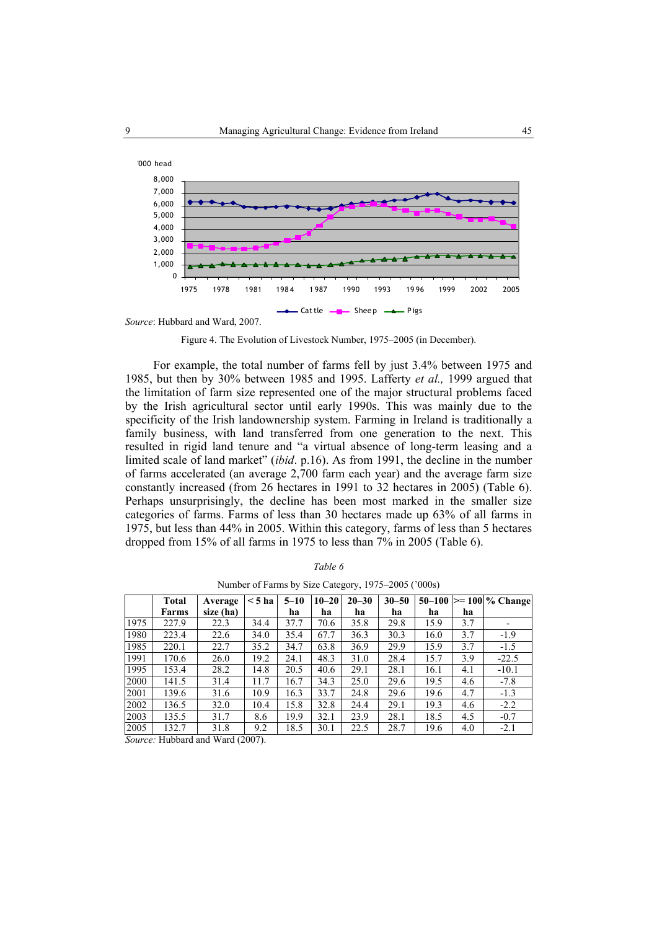

*Source*: Hubbard and Ward, 2007.

Figure 4. The Evolution of Livestock Number, 1975–2005 (in December).

For example, the total number of farms fell by just 3.4% between 1975 and 1985, but then by 30% between 1985 and 1995. Lafferty *et al.,* 1999 argued that the limitation of farm size represented one of the major structural problems faced by the Irish agricultural sector until early 1990s. This was mainly due to the specificity of the Irish landownership system. Farming in Ireland is traditionally a family business, with land transferred from one generation to the next. This resulted in rigid land tenure and "a virtual absence of long-term leasing and a limited scale of land market" (*ibid*. p.16). As from 1991, the decline in the number of farms accelerated (an average 2,700 farm each year) and the average farm size constantly increased (from 26 hectares in 1991 to 32 hectares in 2005) (Table 6). Perhaps unsurprisingly, the decline has been most marked in the smaller size categories of farms. Farms of less than 30 hectares made up 63% of all farms in 1975, but less than 44% in 2005. Within this category, farms of less than 5 hectares dropped from 15% of all farms in 1975 to less than 7% in 2005 (Table 6).

|      | Total        | Average   | $<$ 5 ha | $5 - 10$ | $10 - 20$ | $20 - 30$ | $30 - 50$ | $50 - 100$ |     | $\geq$ 100 % Change |
|------|--------------|-----------|----------|----------|-----------|-----------|-----------|------------|-----|---------------------|
|      | <b>Farms</b> | size (ha) |          | ha       | ha        | ha        | ha        | ha         | ha  |                     |
| 1975 | 227.9        | 22.3      | 34.4     | 37.7     | 70.6      | 35.8      | 29.8      | 15.9       | 3.7 |                     |
| 1980 | 223.4        | 22.6      | 34.0     | 35.4     | 67.7      | 36.3      | 30.3      | 16.0       | 3.7 | $-1.9$              |
| 1985 | 220.1        | 22.7      | 35.2     | 34.7     | 63.8      | 36.9      | 29.9      | 15.9       | 3.7 | $-1.5$              |
| 1991 | 170.6        | 26.0      | 19.2     | 24.1     | 48.3      | 31.0      | 28.4      | 15.7       | 3.9 | $-22.5$             |
| 1995 | 153.4        | 28.2      | 14.8     | 20.5     | 40.6      | 29.1      | 28.1      | 16.1       | 4.1 | $-10.1$             |
| 2000 | 141.5        | 31.4      | 11.7     | 16.7     | 34.3      | 25.0      | 29.6      | 19.5       | 4.6 | $-7.8$              |
| 2001 | 139.6        | 31.6      | 10.9     | 16.3     | 33.7      | 24.8      | 29.6      | 19.6       | 4.7 | $-1.3$              |
| 2002 | 136.5        | 32.0      | 10.4     | 15.8     | 32.8      | 24.4      | 29.1      | 19.3       | 4.6 | $-2.2$              |
| 2003 | 135.5        | 31.7      | 8.6      | 19.9     | 32.1      | 23.9      | 28.1      | 18.5       | 4.5 | $-0.7$              |
| 2005 | 132.7        | 31.8      | 9.2      | 18.5     | 30.1      | 22.5      | 28.7      | 19.6       | 4.0 | $-2.1$              |

*Table 6* 

Number of Farms by Size Category, 1975–2005 ('000s)

*Source:* Hubbard and Ward (2007).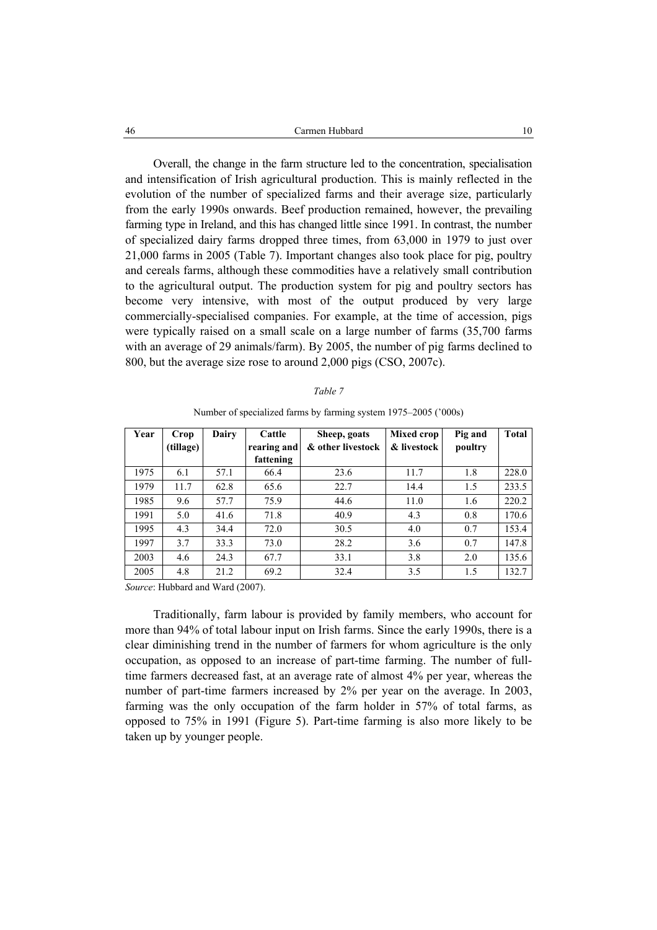Overall, the change in the farm structure led to the concentration, specialisation and intensification of Irish agricultural production. This is mainly reflected in the evolution of the number of specialized farms and their average size, particularly from the early 1990s onwards. Beef production remained, however, the prevailing farming type in Ireland, and this has changed little since 1991. In contrast, the number of specialized dairy farms dropped three times, from 63,000 in 1979 to just over 21,000 farms in 2005 (Table 7). Important changes also took place for pig, poultry and cereals farms, although these commodities have a relatively small contribution to the agricultural output. The production system for pig and poultry sectors has become very intensive, with most of the output produced by very large commercially-specialised companies. For example, at the time of accession, pigs were typically raised on a small scale on a large number of farms (35,700 farms with an average of 29 animals/farm). By 2005, the number of pig farms declined to 800, but the average size rose to around 2,000 pigs (CSO, 2007c).

|--|--|

| Year | Crop<br>(tillage) | Dairy | Cattle<br>rearing and | Sheep, goats<br>& other livestock | <b>Mixed crop</b><br>& livestock | Pig and<br>poultry | Total |
|------|-------------------|-------|-----------------------|-----------------------------------|----------------------------------|--------------------|-------|
|      |                   |       | fattening             |                                   |                                  |                    |       |
| 1975 | 6.1               | 57.1  | 66.4                  | 23.6                              | 11.7                             | 1.8                | 228.0 |
| 1979 | 11.7              | 62.8  | 65.6                  | 22.7                              | 14.4                             | 1.5                | 233.5 |
| 1985 | 9.6               | 57.7  | 75.9                  | 44.6                              | 11.0                             | 1.6                | 220.2 |
| 1991 | 5.0               | 41.6  | 71.8                  | 40.9                              | 4.3                              | 0.8                | 170.6 |
| 1995 | 4.3               | 34.4  | 72.0                  | 30.5                              | 4.0                              | 0.7                | 153.4 |
| 1997 | 3.7               | 33.3  | 73.0                  | 28.2                              | 3.6                              | 0.7                | 147.8 |
| 2003 | 4.6               | 24.3  | 67.7                  | 33.1                              | 3.8                              | 2.0                | 135.6 |
| 2005 | 4.8               | 21.2  | 69.2                  | 32.4                              | 3.5                              | 1.5                | 132.7 |

Number of specialized farms by farming system 1975–2005 ('000s)

*Source*: Hubbard and Ward (2007).

Traditionally, farm labour is provided by family members, who account for more than 94% of total labour input on Irish farms. Since the early 1990s, there is a clear diminishing trend in the number of farmers for whom agriculture is the only occupation, as opposed to an increase of part-time farming. The number of fulltime farmers decreased fast, at an average rate of almost 4% per year, whereas the number of part-time farmers increased by 2% per year on the average. In 2003, farming was the only occupation of the farm holder in 57% of total farms, as opposed to 75% in 1991 (Figure 5). Part-time farming is also more likely to be taken up by younger people.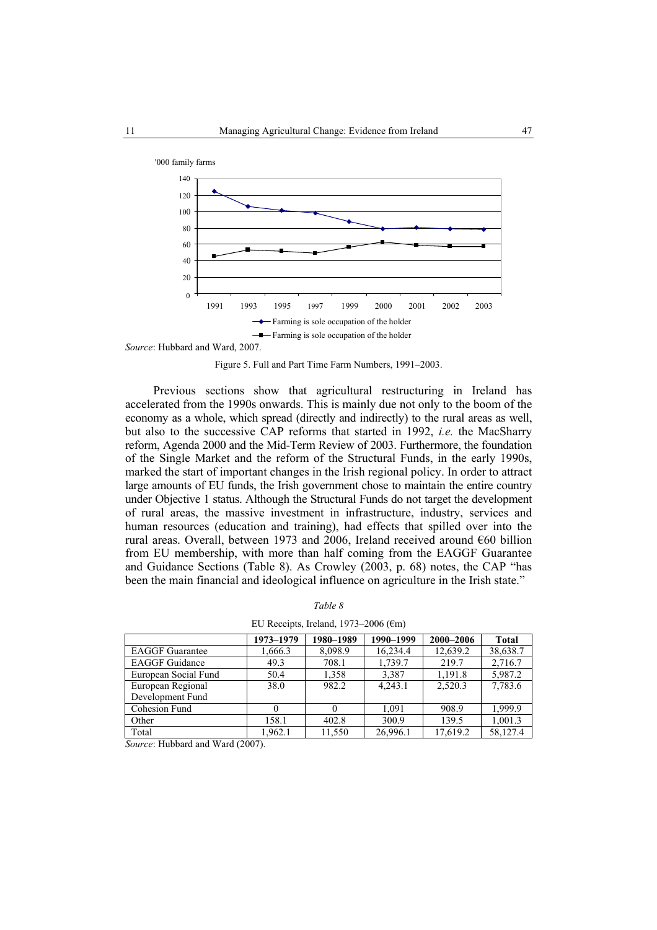

*Source*: Hubbard and Ward, 2007.

Figure 5. Full and Part Time Farm Numbers, 1991–2003.

Previous sections show that agricultural restructuring in Ireland has accelerated from the 1990s onwards. This is mainly due not only to the boom of the economy as a whole, which spread (directly and indirectly) to the rural areas as well, but also to the successive CAP reforms that started in 1992, *i.e.* the MacSharry reform, Agenda 2000 and the Mid-Term Review of 2003. Furthermore, the foundation of the Single Market and the reform of the Structural Funds, in the early 1990s, marked the start of important changes in the Irish regional policy. In order to attract large amounts of EU funds, the Irish government chose to maintain the entire country under Objective 1 status. Although the Structural Funds do not target the development of rural areas, the massive investment in infrastructure, industry, services and human resources (education and training), had effects that spilled over into the rural areas. Overall, between 1973 and 2006, Ireland received around €60 billion from EU membership, with more than half coming from the EAGGF Guarantee and Guidance Sections (Table 8). As Crowley (2003, p. 68) notes, the CAP "has been the main financial and ideological influence on agriculture in the Irish state."

|--|--|

|  |  |  | EU Receipts, Ireland, 1973–2006 ( $\epsilon$ m) |  |  |
|--|--|--|-------------------------------------------------|--|--|
|--|--|--|-------------------------------------------------|--|--|

|                        | 1973-1979 | 1980-1989 | 1990-1999 | 2000-2006 | <b>Total</b> |
|------------------------|-----------|-----------|-----------|-----------|--------------|
| <b>EAGGF</b> Guarantee | 1,666.3   | 8,098.9   | 16,234.4  | 12,639.2  | 38,638.7     |
| <b>EAGGF</b> Guidance  | 49.3      | 708.1     | 1,739.7   | 219.7     | 2,716.7      |
| European Social Fund   | 50.4      | 1,358     | 3,387     | 1,191.8   | 5,987.2      |
| European Regional      | 38.0      | 982.2     | 4.243.1   | 2.520.3   | 7,783.6      |
| Development Fund       |           |           |           |           |              |
| Cohesion Fund          |           |           | 1.091     | 908.9     | 1.999.9      |
| Other                  | 158.1     | 402.8     | 300.9     | 139.5     | 1,001.3      |
| Total                  | 1.962.1   | 11,550    | 26,996.1  | 17,619.2  | 58,127.4     |

*Source*: Hubbard and Ward (2007).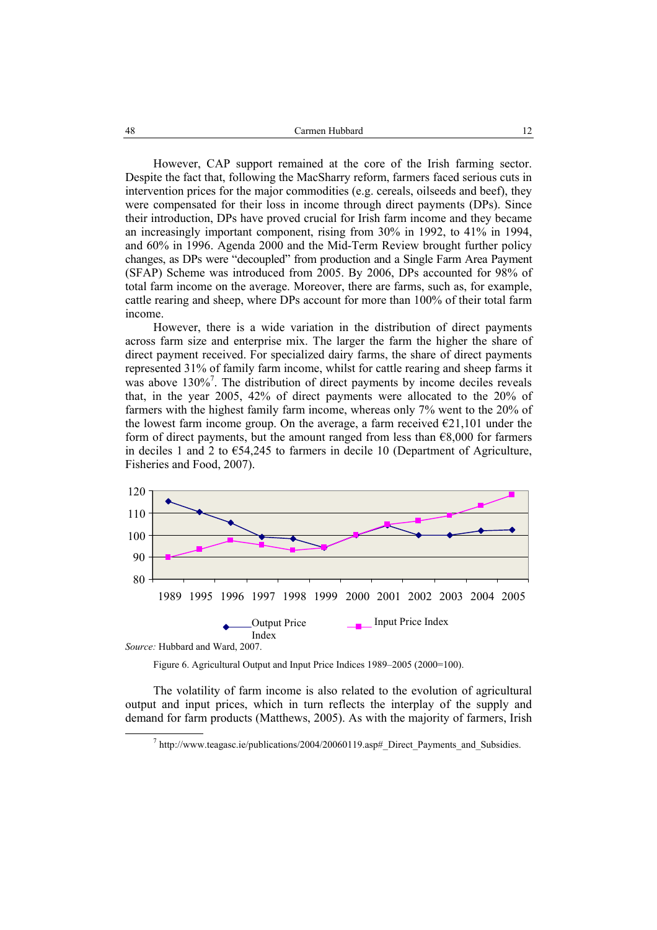However, CAP support remained at the core of the Irish farming sector. Despite the fact that, following the MacSharry reform, farmers faced serious cuts in intervention prices for the major commodities (e.g. cereals, oilseeds and beef), they were compensated for their loss in income through direct payments (DPs). Since their introduction, DPs have proved crucial for Irish farm income and they became an increasingly important component, rising from 30% in 1992, to 41% in 1994, and 60% in 1996. Agenda 2000 and the Mid-Term Review brought further policy changes, as DPs were "decoupled" from production and a Single Farm Area Payment (SFAP) Scheme was introduced from 2005. By 2006, DPs accounted for 98% of total farm income on the average. Moreover, there are farms, such as, for example, cattle rearing and sheep, where DPs account for more than 100% of their total farm income.

However, there is a wide variation in the distribution of direct payments across farm size and enterprise mix. The larger the farm the higher the share of direct payment received. For specialized dairy farms, the share of direct payments represented 31% of family farm income, whilst for cattle rearing and sheep farms it was above 130%<sup>7</sup>. The distribution of direct payments by income deciles reveals that, in the year 2005, 42% of direct payments were allocated to the 20% of farmers with the highest family farm income, whereas only 7% went to the 20% of the lowest farm income group. On the average, a farm received  $E21,101$  under the form of direct payments, but the amount ranged from less than  $\epsilon$ 8,000 for farmers in deciles 1 and 2 to €54,245 to farmers in decile 10 (Department of Agriculture, Fisheries and Food, 2007).



*Source:* Hubbard and Ward, 2007.

Figure 6. Agricultural Output and Input Price Indices 1989–2005 (2000=100).

The volatility of farm income is also related to the evolution of agricultural output and input prices, which in turn reflects the interplay of the supply and demand for farm products (Matthews, 2005). As with the majority of farmers, Irish

 <sup>7</sup>  $h$ ttp://www.teagasc.ie/publications/2004/20060119.asp# Direct Payments and Subsidies.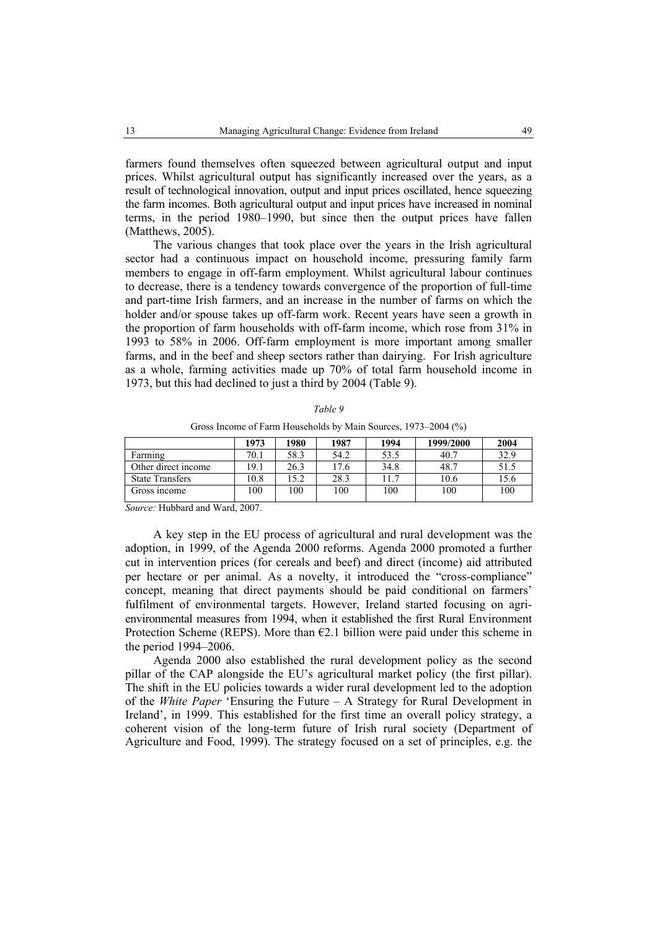farmers found themselves often squeezed between agricultural output and input prices. Whilst agricultural output has significantly increased over the years, as a result of technological innovation, output and input prices oscillated, hence squeezing the farm incomes. Both agricultural output and input prices have increased in nominal terms, in the period 1980–1990, but since then the output prices have fallen (Matthews, 2005).

The various changes that took place over the years in the Irish agricultural sector had a continuous impact on household income, pressuring family farm members to engage in off-farm employment. Whilst agricultural labour continues to decrease, there is a tendency towards convergence of the proportion of full-time and part-time Irish farmers, and an increase in the number of farms on which the holder and/or spouse takes up off-farm work. Recent years have seen a growth in the proportion of farm households with off-farm income, which rose from 31% in 1993 to 58% in 2006. Off-farm employment is more important among smaller farms, and in the beef and sheep sectors rather than dairying. For Irish agriculture as a whole, farming activities made up 70% of total farm household income in 1973, but this had declined to just a third by 2004 (Table 9).

| anı |  |
|-----|--|
|-----|--|

|                        | 1973 | 1980  | 1987 | 1994 | 1999/2000 | 2004 |
|------------------------|------|-------|------|------|-----------|------|
| Farming                | 70.1 | 58.3  | 54.2 | 53.5 | 40.7      | 32.9 |
| Other direct income    | 19.1 | 26.3  | 17.6 | 34.8 | 48.7      | 51.5 |
| <b>State Transfers</b> | 0.8  | l 5.2 | 28.3 | 11.7 | 10.6      | 15.6 |
| Gross income           | 100  | 100   | 100  | 100  | 100       | 100  |

Gross Income of Farm Households by Main Sources, 1973–2004 (%)

*Source:* Hubbard and Ward, 2007.

A key step in the EU process of agricultural and rural development was the adoption, in 1999, of the Agenda 2000 reforms. Agenda 2000 promoted a further cut in intervention prices (for cereals and beef) and direct (income) aid attributed per hectare or per animal. As a novelty, it introduced the "cross-compliance" concept, meaning that direct payments should be paid conditional on farmers' fulfilment of environmental targets. However, Ireland started focusing on agrienvironmental measures from 1994, when it established the first Rural Environment Protection Scheme (REPS). More than  $E2.1$  billion were paid under this scheme in the period 1994–2006.

Agenda 2000 also established the rural development policy as the second pillar of the CAP alongside the EU's agricultural market policy (the first pillar). The shift in the EU policies towards a wider rural development led to the adoption of the *White Paper* 'Ensuring the Future – A Strategy for Rural Development in Ireland', in 1999. This established for the first time an overall policy strategy, a coherent vision of the long-term future of Irish rural society (Department of Agriculture and Food, 1999). The strategy focused on a set of principles, e.g. the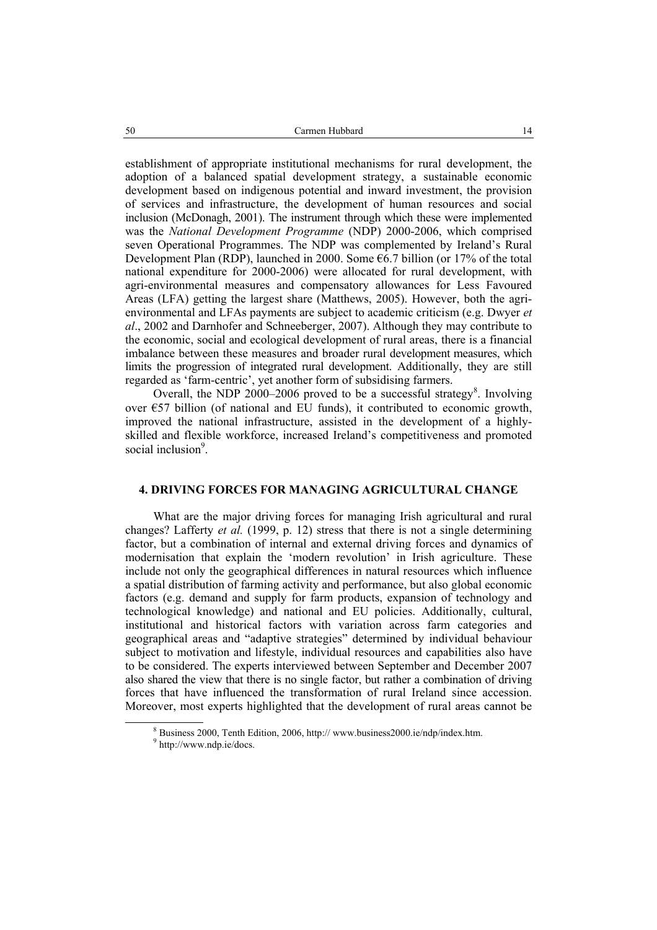establishment of appropriate institutional mechanisms for rural development, the adoption of a balanced spatial development strategy, a sustainable economic development based on indigenous potential and inward investment, the provision of services and infrastructure, the development of human resources and social inclusion (McDonagh, 2001). The instrument through which these were implemented was the *National Development Programme* (NDP) 2000-2006, which comprised seven Operational Programmes. The NDP was complemented by Ireland's Rural Development Plan (RDP), launched in 2000. Some €6.7 billion (or 17% of the total national expenditure for 2000-2006) were allocated for rural development, with agri-environmental measures and compensatory allowances for Less Favoured Areas (LFA) getting the largest share (Matthews, 2005). However, both the agrienvironmental and LFAs payments are subject to academic criticism (e.g. Dwyer *et al*., 2002 and Darnhofer and Schneeberger, 2007). Although they may contribute to the economic, social and ecological development of rural areas, there is a financial imbalance between these measures and broader rural development measures, which limits the progression of integrated rural development. Additionally, they are still regarded as 'farm-centric', yet another form of subsidising farmers.

Overall, the NDP 2000–2006 proved to be a successful strategy<sup>8</sup>. Involving over  $E$ 57 billion (of national and EU funds), it contributed to economic growth, improved the national infrastructure, assisted in the development of a highlyskilled and flexible workforce, increased Ireland's competitiveness and promoted social inclusion<sup>9</sup>.

### **4. DRIVING FORCES FOR MANAGING AGRICULTURAL CHANGE**

What are the major driving forces for managing Irish agricultural and rural changes? Lafferty *et al.* (1999, p. 12) stress that there is not a single determining factor, but a combination of internal and external driving forces and dynamics of modernisation that explain the 'modern revolution' in Irish agriculture. These include not only the geographical differences in natural resources which influence a spatial distribution of farming activity and performance, but also global economic factors (e.g. demand and supply for farm products, expansion of technology and technological knowledge) and national and EU policies. Additionally, cultural, institutional and historical factors with variation across farm categories and geographical areas and "adaptive strategies" determined by individual behaviour subject to motivation and lifestyle, individual resources and capabilities also have to be considered. The experts interviewed between September and December 2007 also shared the view that there is no single factor, but rather a combination of driving forces that have influenced the transformation of rural Ireland since accession. Moreover, most experts highlighted that the development of rural areas cannot be

 <sup>8</sup> <sup>8</sup> Business 2000, Tenth Edition, 2006, http:// www.business2000.ie/ndp/index.htm.

<sup>&</sup>lt;sup>9</sup> http://www.ndp.ie/docs.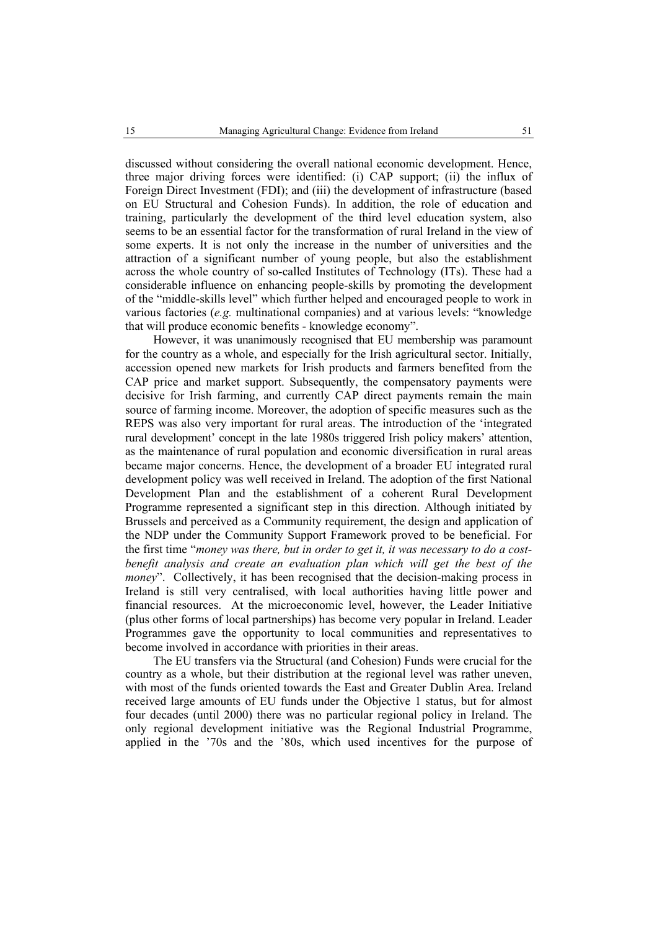discussed without considering the overall national economic development. Hence, three major driving forces were identified: (i) CAP support; (ii) the influx of Foreign Direct Investment (FDI); and (iii) the development of infrastructure (based on EU Structural and Cohesion Funds). In addition, the role of education and training, particularly the development of the third level education system, also seems to be an essential factor for the transformation of rural Ireland in the view of some experts. It is not only the increase in the number of universities and the attraction of a significant number of young people, but also the establishment across the whole country of so-called Institutes of Technology (ITs). These had a considerable influence on enhancing people-skills by promoting the development of the "middle-skills level" which further helped and encouraged people to work in various factories (*e.g.* multinational companies) and at various levels: "knowledge that will produce economic benefits - knowledge economy".

However, it was unanimously recognised that EU membership was paramount for the country as a whole, and especially for the Irish agricultural sector. Initially, accession opened new markets for Irish products and farmers benefited from the CAP price and market support. Subsequently, the compensatory payments were decisive for Irish farming, and currently CAP direct payments remain the main source of farming income. Moreover, the adoption of specific measures such as the REPS was also very important for rural areas. The introduction of the 'integrated rural development' concept in the late 1980s triggered Irish policy makers' attention, as the maintenance of rural population and economic diversification in rural areas became major concerns. Hence, the development of a broader EU integrated rural development policy was well received in Ireland. The adoption of the first National Development Plan and the establishment of a coherent Rural Development Programme represented a significant step in this direction. Although initiated by Brussels and perceived as a Community requirement, the design and application of the NDP under the Community Support Framework proved to be beneficial. For the first time "*money was there, but in order to get it, it was necessary to do a costbenefit analysis and create an evaluation plan which will get the best of the money*". Collectively, it has been recognised that the decision-making process in Ireland is still very centralised, with local authorities having little power and financial resources. At the microeconomic level, however, the Leader Initiative (plus other forms of local partnerships) has become very popular in Ireland. Leader Programmes gave the opportunity to local communities and representatives to become involved in accordance with priorities in their areas.

The EU transfers via the Structural (and Cohesion) Funds were crucial for the country as a whole, but their distribution at the regional level was rather uneven, with most of the funds oriented towards the East and Greater Dublin Area. Ireland received large amounts of EU funds under the Objective 1 status, but for almost four decades (until 2000) there was no particular regional policy in Ireland. The only regional development initiative was the Regional Industrial Programme, applied in the '70s and the '80s, which used incentives for the purpose of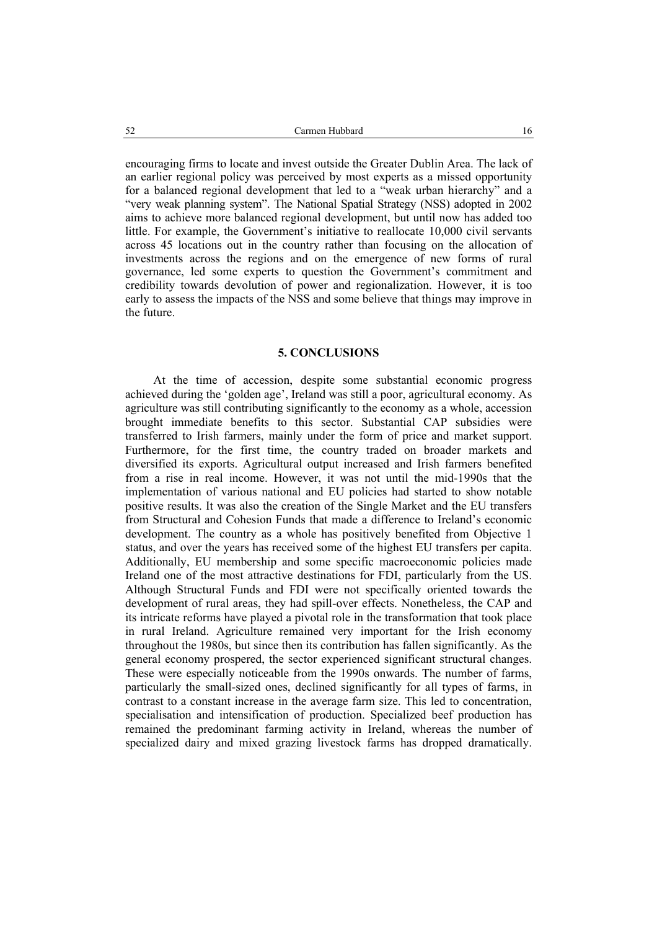encouraging firms to locate and invest outside the Greater Dublin Area. The lack of an earlier regional policy was perceived by most experts as a missed opportunity for a balanced regional development that led to a "weak urban hierarchy" and a "very weak planning system". The National Spatial Strategy (NSS) adopted in 2002 aims to achieve more balanced regional development, but until now has added too little. For example, the Government's initiative to reallocate 10,000 civil servants across 45 locations out in the country rather than focusing on the allocation of investments across the regions and on the emergence of new forms of rural governance, led some experts to question the Government's commitment and credibility towards devolution of power and regionalization. However, it is too early to assess the impacts of the NSS and some believe that things may improve in the future.

#### **5. CONCLUSIONS**

At the time of accession, despite some substantial economic progress achieved during the 'golden age', Ireland was still a poor, agricultural economy. As agriculture was still contributing significantly to the economy as a whole, accession brought immediate benefits to this sector. Substantial CAP subsidies were transferred to Irish farmers, mainly under the form of price and market support. Furthermore, for the first time, the country traded on broader markets and diversified its exports. Agricultural output increased and Irish farmers benefited from a rise in real income. However, it was not until the mid-1990s that the implementation of various national and EU policies had started to show notable positive results. It was also the creation of the Single Market and the EU transfers from Structural and Cohesion Funds that made a difference to Ireland's economic development. The country as a whole has positively benefited from Objective 1 status, and over the years has received some of the highest EU transfers per capita. Additionally, EU membership and some specific macroeconomic policies made Ireland one of the most attractive destinations for FDI, particularly from the US. Although Structural Funds and FDI were not specifically oriented towards the development of rural areas, they had spill-over effects. Nonetheless, the CAP and its intricate reforms have played a pivotal role in the transformation that took place in rural Ireland. Agriculture remained very important for the Irish economy throughout the 1980s, but since then its contribution has fallen significantly. As the general economy prospered, the sector experienced significant structural changes. These were especially noticeable from the 1990s onwards. The number of farms, particularly the small-sized ones, declined significantly for all types of farms, in contrast to a constant increase in the average farm size. This led to concentration, specialisation and intensification of production. Specialized beef production has remained the predominant farming activity in Ireland, whereas the number of specialized dairy and mixed grazing livestock farms has dropped dramatically.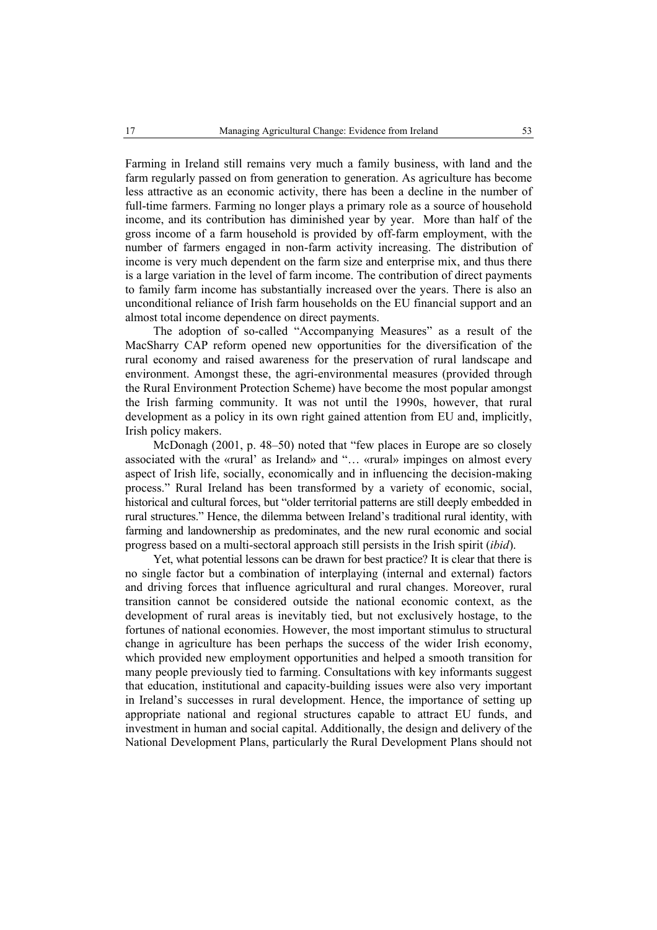Farming in Ireland still remains very much a family business, with land and the farm regularly passed on from generation to generation. As agriculture has become less attractive as an economic activity, there has been a decline in the number of full-time farmers. Farming no longer plays a primary role as a source of household income, and its contribution has diminished year by year. More than half of the gross income of a farm household is provided by off-farm employment, with the number of farmers engaged in non-farm activity increasing. The distribution of income is very much dependent on the farm size and enterprise mix, and thus there is a large variation in the level of farm income. The contribution of direct payments to family farm income has substantially increased over the years. There is also an unconditional reliance of Irish farm households on the EU financial support and an almost total income dependence on direct payments.

The adoption of so-called "Accompanying Measures" as a result of the MacSharry CAP reform opened new opportunities for the diversification of the rural economy and raised awareness for the preservation of rural landscape and environment. Amongst these, the agri-environmental measures (provided through the Rural Environment Protection Scheme) have become the most popular amongst the Irish farming community. It was not until the 1990s, however, that rural development as a policy in its own right gained attention from EU and, implicitly, Irish policy makers.

McDonagh (2001, p. 48–50) noted that "few places in Europe are so closely associated with the «rural' as Ireland» and "… «rural» impinges on almost every aspect of Irish life, socially, economically and in influencing the decision-making process." Rural Ireland has been transformed by a variety of economic, social, historical and cultural forces, but "older territorial patterns are still deeply embedded in rural structures." Hence, the dilemma between Ireland's traditional rural identity, with farming and landownership as predominates, and the new rural economic and social progress based on a multi-sectoral approach still persists in the Irish spirit (*ibid*).

Yet, what potential lessons can be drawn for best practice? It is clear that there is no single factor but a combination of interplaying (internal and external) factors and driving forces that influence agricultural and rural changes. Moreover, rural transition cannot be considered outside the national economic context, as the development of rural areas is inevitably tied, but not exclusively hostage, to the fortunes of national economies. However, the most important stimulus to structural change in agriculture has been perhaps the success of the wider Irish economy, which provided new employment opportunities and helped a smooth transition for many people previously tied to farming. Consultations with key informants suggest that education, institutional and capacity-building issues were also very important in Ireland's successes in rural development. Hence, the importance of setting up appropriate national and regional structures capable to attract EU funds, and investment in human and social capital. Additionally, the design and delivery of the National Development Plans, particularly the Rural Development Plans should not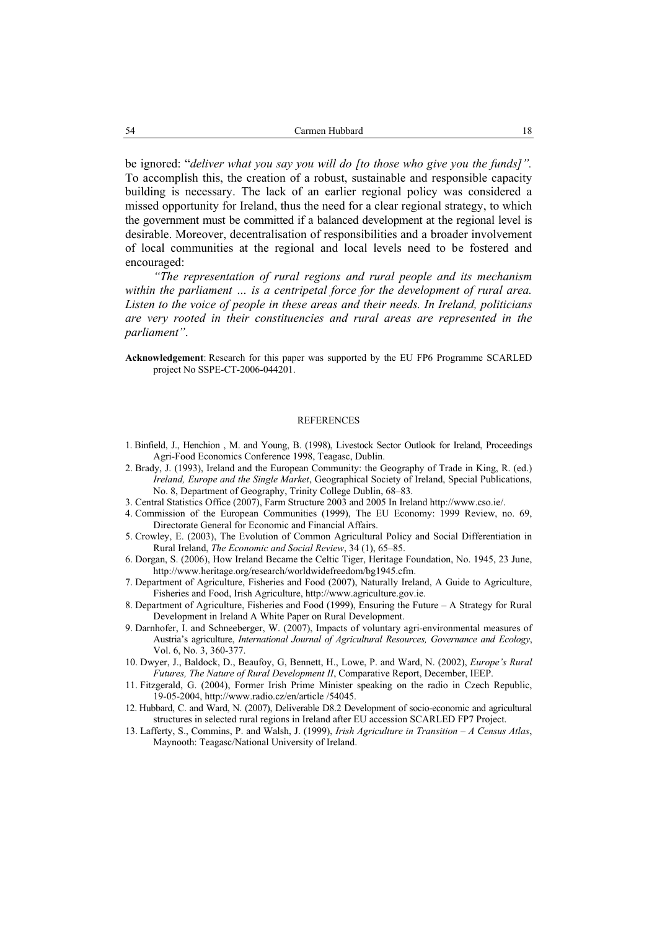be ignored: "*deliver what you say you will do [to those who give you the funds]".* To accomplish this, the creation of a robust, sustainable and responsible capacity building is necessary. The lack of an earlier regional policy was considered a missed opportunity for Ireland, thus the need for a clear regional strategy, to which the government must be committed if a balanced development at the regional level is desirable. Moreover, decentralisation of responsibilities and a broader involvement of local communities at the regional and local levels need to be fostered and encouraged:

*"The representation of rural regions and rural people and its mechanism within the parliament … is a centripetal force for the development of rural area. Listen to the voice of people in these areas and their needs. In Ireland, politicians are very rooted in their constituencies and rural areas are represented in the parliament"*.

**Acknowledgement**: Research for this paper was supported by the EU FP6 Programme SCARLED project No SSPE-CT-2006-044201.

#### **REFERENCES**

- 1. Binfield, J., Henchion , M. and Young, B. (1998), Livestock Sector Outlook for Ireland, Proceedings Agri-Food Economics Conference 1998, Teagasc, Dublin.
- 2. Brady, J. (1993), Ireland and the European Community: the Geography of Trade in King, R. (ed.) *Ireland, Europe and the Single Market*, Geographical Society of Ireland, Special Publications, No. 8, Department of Geography, Trinity College Dublin, 68–83.
- 3. Central Statistics Office (2007), Farm Structure 2003 and 2005 In Ireland http://www.cso.ie/.
- 4. Commission of the European Communities (1999), The EU Economy: 1999 Review, no. 69, Directorate General for Economic and Financial Affairs.
- 5. Crowley, E. (2003), The Evolution of Common Agricultural Policy and Social Differentiation in Rural Ireland, *The Economic and Social Review*, 34 (1), 65–85.
- 6. Dorgan, S. (2006), How Ireland Became the Celtic Tiger, Heritage Foundation, No. 1945, 23 June, http://www.heritage.org/research/worldwidefreedom/bg1945.cfm.
- 7. Department of Agriculture, Fisheries and Food (2007), Naturally Ireland, A Guide to Agriculture, Fisheries and Food, Irish Agriculture, http://www.agriculture.gov.ie.
- 8. Department of Agriculture, Fisheries and Food (1999), Ensuring the Future A Strategy for Rural Development in Ireland A White Paper on Rural Development.
- 9. Darnhofer, I. and Schneeberger, W. (2007), Impacts of voluntary agri-environmental measures of Austria's agriculture, *International Journal of Agricultural Resources, Governance and Ecology*, Vol. 6, No. 3, 360-377.
- 10. Dwyer, J., Baldock, D., Beaufoy, G, Bennett, H., Lowe, P. and Ward, N. (2002), *Europe's Rural Futures, The Nature of Rural Development II*, Comparative Report, December, IEEP.
- 11. Fitzgerald, G. (2004), Former Irish Prime Minister speaking on the radio in Czech Republic, 19-05-2004, http://www.radio.cz/en/article /54045.
- 12. Hubbard, C. and Ward, N. (2007), Deliverable D8.2 Development of socio-economic and agricultural structures in selected rural regions in Ireland after EU accession SCARLED FP7 Project.
- 13. Lafferty, S., Commins, P. and Walsh, J. (1999), *Irish Agriculture in Transition A Census Atlas*, Maynooth: Teagasc/National University of Ireland.